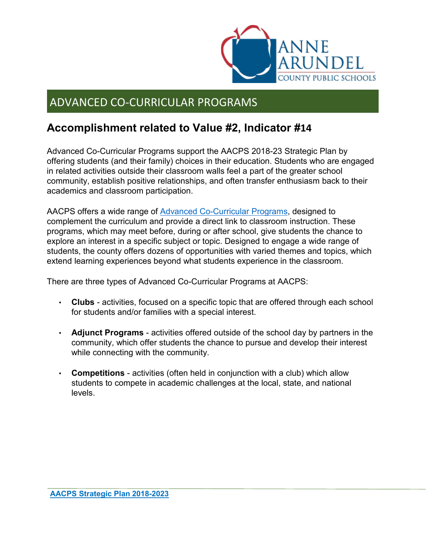

## ADVANCED CO-CURRICULAR PROGRAMS

## **Accomplishment related to Value #2, Indicator #14**

Advanced Co-Curricular Programs support the AACPS 2018-23 Strategic Plan by offering students (and their family) choices in their education. Students who are engaged in related activities outside their classroom walls feel a part of the greater school community, establish positive relationships, and often transfer enthusiasm back to their academics and classroom participation.

AACPS offers a wide range of [Advanced Co-Curricular Programs,](http://www.aacps.org/advancedcocurricular) designed to complement the curriculum and provide a direct link to classroom instruction. These programs, which may meet before, during or after school, give students the chance to explore an interest in a specific subject or topic. Designed to engage a wide range of students, the county offers dozens of opportunities with varied themes and topics, which extend learning experiences beyond what students experience in the classroom.

There are three types of Advanced Co-Curricular Programs at AACPS:

- **Clubs** activities, focused on a specific topic that are offered through each school for students and/or families with a special interest.
- **Adjunct Programs** activities offered outside of the school day by partners in the community, which offer students the chance to pursue and develop their interest while connecting with the community.
- **Competitions** activities (often held in conjunction with a club) which allow students to compete in academic challenges at the local, state, and national levels.